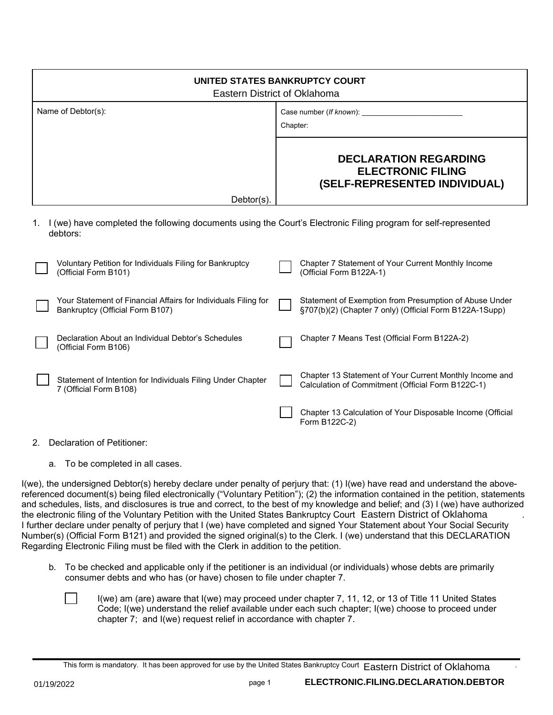| UNITED STATES BANKRUPTCY COURT<br>Eastern District of Oklahoma                                                                                                                                                 |                                                                                                                   |
|----------------------------------------------------------------------------------------------------------------------------------------------------------------------------------------------------------------|-------------------------------------------------------------------------------------------------------------------|
| Name of Debtor(s):                                                                                                                                                                                             | Chapter:                                                                                                          |
|                                                                                                                                                                                                                | <b>DECLARATION REGARDING</b><br><b>ELECTRONIC FILING</b><br>(SELF-REPRESENTED INDIVIDUAL)                         |
| $Dektor(s)$ .                                                                                                                                                                                                  |                                                                                                                   |
| I (we) have completed the following documents using the Court's Electronic Filing program for self-represented<br>debtors:<br>Voluntary Petition for Individuals Filing for Bankruptcy<br>(Official Form B101) | Chapter 7 Statement of Your Current Monthly Income<br>(Official Form B122A-1)                                     |
| Your Statement of Financial Affairs for Individuals Filing for<br>Bankruptcy (Official Form B107)                                                                                                              | Statement of Exemption from Presumption of Abuse Under<br>§707(b)(2) (Chapter 7 only) (Official Form B122A-1Supp) |
| Declaration About an Individual Debtor's Schedules<br>(Official Form B106)                                                                                                                                     | Chapter 7 Means Test (Official Form B122A-2)                                                                      |
| Statement of Intention for Individuals Filing Under Chapter<br>7 (Official Form B108)                                                                                                                          | Chapter 13 Statement of Your Current Monthly Income and<br>Calculation of Commitment (Official Form B122C-1)      |
|                                                                                                                                                                                                                | Chapter 13 Calculation of Your Disposable Income (Official<br>Form B122C-2)                                       |

- 2. Declaration of Petitioner:
	- a. To be completed in all cases.

I(we), the undersigned Debtor(s) hereby declare under penalty of perjury that: (1) I(we) have read and understand the abovereferenced document(s) being filed electronically ("Voluntary Petition"); (2) the information contained in the petition, statements and schedules, lists, and disclosures is true and correct, to the best of my knowledge and belief; and (3) I (we) have authorized the electronic filing of the Voluntary Petition with the United States Bankruptcy Court Eastern District of Oklahoma I further declare under penalty of perjury that I (we) have completed and signed Your Statement about Your Social Security Number(s) (Official Form B121) and provided the signed original(s) to the Clerk. I (we) understand that this DECLARATION Regarding Electronic Filing must be filed with the Clerk in addition to the petition.

- b. To be checked and applicable only if the petitioner is an individual (or individuals) whose debts are primarily consumer debts and who has (or have) chosen to file under chapter 7.
	- I(we) am (are) aware that I(we) may proceed under chapter 7, 11, 12, or 13 of Title 11 United States Code; I(we) understand the relief available under each such chapter; I(we) choose to proceed under chapter 7; and I(we) request relief in accordance with chapter 7.

This form is mandatory. It has been approved for use by the United States Bankruptcy Court . 01/19/2022 Eastern District of Oklahoma